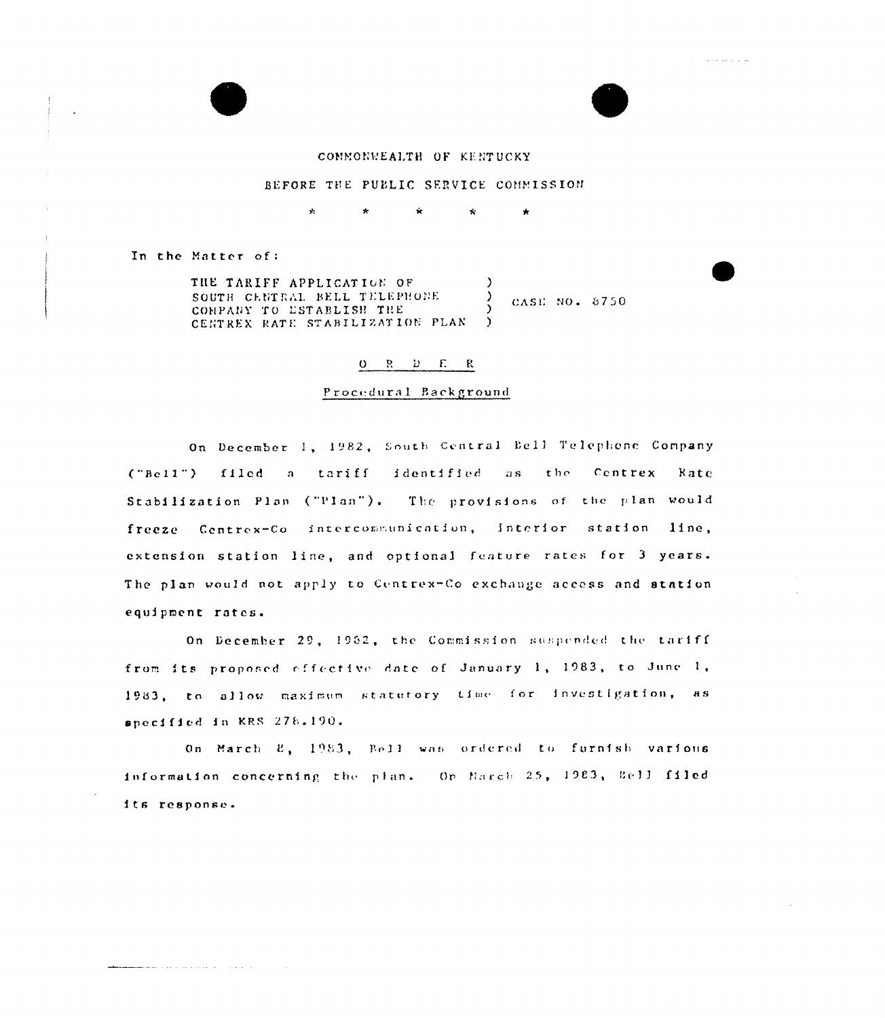



ing a sa sa sala

# CONNONWEALTH OF KENTUCKY

## BEFORE THE PUBLIC SERVICE COMMISSION

 $\star$  $\star$  .  $\hat{\mathbf{x}}$  $\star$ 

In the Matter of:

THE TARIFF APPLICATION OF ↑ SOUTH CENTRAL BELL TELEPHONE  $\lambda$ CASE NO. 8750 COMPANY TO ESTABLISH THE CENTREX RATE STABILIZATION PLAN )

#### $0 \quad R \quad D \quad E \quad R$

### Procedural Background

On December 1, 1982, South Central Bell Telephone Company ("Bell") filed a tariff identified as the Centrex Rate Stabilization Plan ("Plan"). The provisions of the plan would freeze Centrex-Co intercommunication, interior station line, extension station line, and optional feature rates for 3 years. The plan would not apply to Centrex-Co exchange access and station equipment rates.

On December 29, 1962, the Commission suspended the tariff from its proposed effective date of January 1, 1983, to June 1, 1983, to allow maximum statutory time for investigation, as specified in KRS 278.190.

On March  $E_1$ , 1983, Bell was ordered to furnish various information concerning the plan. On March 25, 1983, Bell filed its response.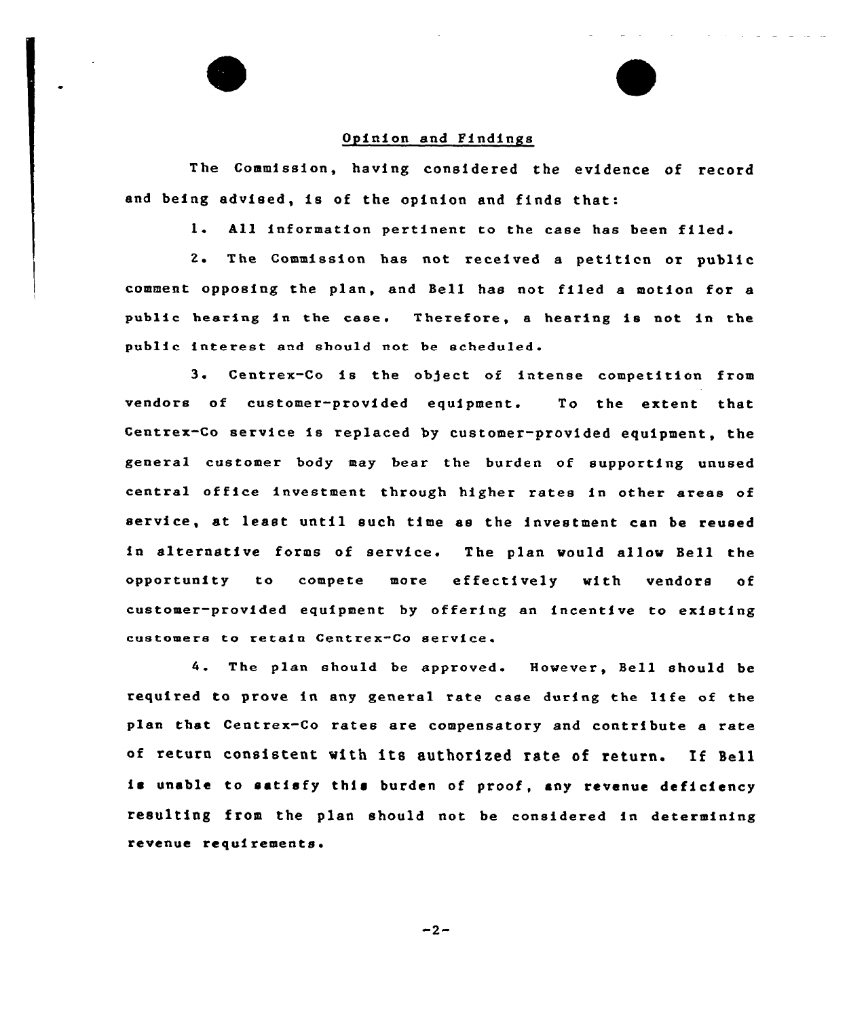

The Commission, having considered the evidence of record and being advised, is of the opinion and finds that:

1. All information pertinent to the case has been filed.

2. The Commission has not received <sup>a</sup> petiticn or public comment opposing the plan, and Bell has not filed a motion for a public hearing in the case. Therefore, a hearing is not in the public interest aad should aot be scheduled.

3. Centrex-Co is the object of intense competition from vendors of customer-provided equipment. To the extent that Centrex-Co service is replaced by customer-provided. equipment, the general customer body may bear the burden of supporting unused central office investment through higher rates in other areas of service, at least until such time as the investment can be reused ia alteraative forms of service. The plan would allow Bell the opportunity to compete more effectively with vendors of customer-provided equipment by offering an incentive to existing customers to retain Centrex-Co service.

4. The plan should be approved. However, Bell should be required to prove in any general rate case during the life of the plan that Ceatrex-Co rates are compensatory and contribute a rate of return consistent with its authorized rate of return. If Bell is unable to satisfy this burden of proof, any revenue deficiency resulting from the plan should not be considered ia determining revenue requirements.

 $-2-$